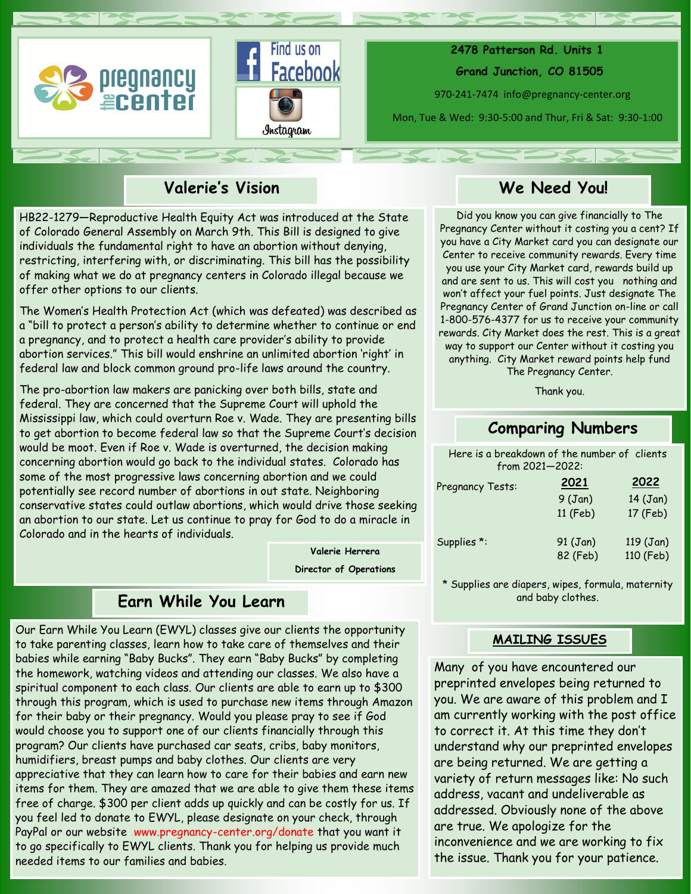



 **2478 Patterson Rd. Units 1 Grand Junction, CO 81505**

970-241-7474 info@pregnancy-center.org

Mon, Tue & Wed: 9:30-5:00 and Thur, Fri & Sat: 9:30-1:00

# **Valerie's Vision**

HB22-1279—Reproductive Health Equity Act was introduced at the State of Colorado General Assembly on March 9th. This Bill is designed to give individuals the fundamental right to have an abortion without denying, restricting, interfering with, or discriminating. This bill has the possibility of making what we do at pregnancy centers in Colorado illegal because we offer other options to our clients.

The Women's Health Protection Act (which was defeated) was described as a "bill to protect a person's ability to determine whether to continue or end a pregnancy, and to protect a health care provider's ability to provide abortion services." This bill would enshrine an unlimited abortion 'right' in federal law and block common ground pro-life laws around the country.

The pro-abortion law makers are panicking over both bills, state and federal. They are concerned that the Supreme Court will uphold the Mississippi law, which could overturn Roe v. Wade. They are presenting bills to get abortion to become federal law so that the Supreme Court's decision would be moot. Even if Roe v. Wade is overturned, the decision making concerning abortion would go back to the individual states. Colorado has some of the most progressive laws concerning abortion and we could potentially see record number of abortions in out state. Neighboring conservative states could outlaw abortions, which would drive those seeking an abortion to our state. Let us continue to pray for God to do a miracle in Colorado and in the hearts of individuals.

**Valerie Herrera** 

**Director of Operations**

# **Earn While You Learn**

Our Earn While You Learn (EWYL) classes give our clients the opportunity to take parenting classes, learn how to take care of themselves and their babies while earning "Baby Bucks". They earn "Baby Bucks" by completing the homework, watching videos and attending our classes. We also have a spiritual component to each class. Our clients are able to earn up to \$300 through this program, which is used to purchase new items through Amazon for their baby or their pregnancy. Would you please pray to see if God would choose you to support one of our clients financially through this program? Our clients have purchased car seats, cribs, baby monitors, humidifiers, breast pumps and baby clothes. Our clients are very appreciative that they can learn how to care for their babies and earn new items for them. They are amazed that we are able to give them these items free of charge. \$300 per client adds up quickly and can be costly for us. If you feel led to donate to EWYL, please designate on your check, through PayPal or our website www.pregnancy-center.org/donate that you want it to go specifically to EWYL clients. Thank you for helping us provide much needed items to our families and babies.

# **We Need You!**

Did you know you can give financially to The Pregnancy Center without it costing you a cent? If you have a City Market card you can designate our Center to receive community rewards. Every time you use your City Market card, rewards build up and are sent to us. This will cost you nothing and won't affect your fuel points. Just designate The Pregnancy Center of Grand Junction on-line or call 1-800-576-4377 for us to receive your community rewards. City Market does the rest. This is a great way to support our Center without it costing you anything. City Market reward points help fund The Pregnancy Center.

Thank you.

## **Comparing Numbers**

Here is a breakdown of the number of clients from 2021—2022: Pregnancy Tests: 9 (Jan) 14 (Jan) **2021 2022**

| Supplies *: | 91 (Jan) | 119(Jan)  |
|-------------|----------|-----------|
|             | 82 (Feb) | 110 (Feb) |

11 (Feb) 17 (Feb)

\* Supplies are diapers, wipes, formula, maternity and baby clothes.

#### **MAILING ISSUES**

Many of you have encountered our preprinted envelopes being returned to you. We are aware of this problem and I am currently working with the post office to correct it. At this time they don't understand why our preprinted envelopes are being returned. We are getting a variety of return messages like: No such address, vacant and undeliverable as addressed. Obviously none of the above are true. We apologize for the inconvenience and we are working to fix the issue. Thank you for your patience.